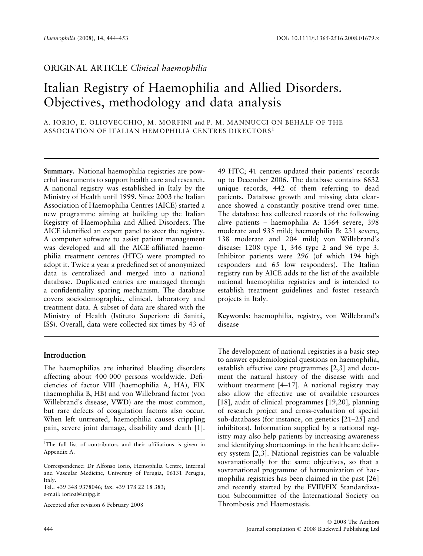# Italian Registry of Haemophilia and Allied Disorders. Objectives, methodology and data analysis

A. IORIO, E. OLIOVECCHIO, M. MORFINI and P. M. MANNUCCI ON BEHALF OF THE ASSOCIATION OF ITALIAN HEMOPHILIA CENTRES DIRECTORS<sup>1</sup>

Summary. National haemophilia registries are powerful instruments to support health care and research. A national registry was established in Italy by the Ministry of Health until 1999. Since 2003 the Italian Association of Haemophilia Centres (AICE) started a new programme aiming at building up the Italian Registry of Haemophilia and Allied Disorders. The AICE identified an expert panel to steer the registry. A computer software to assist patient management was developed and all the AICE-affiliated haemophilia treatment centres (HTC) were prompted to adopt it. Twice a year a predefined set of anonymized data is centralized and merged into a national database. Duplicated entries are managed through a confidentiality sparing mechanism. The database covers sociodemographic, clinical, laboratory and treatment data. A subset of data are shared with the Ministry of Health (Istituto Superiore di Sanita`, ISS). Overall, data were collected six times by 43 of

# Introduction

The haemophilias are inherited bleeding disorders affecting about 400 000 persons worldwide. Deficiencies of factor VIII (haemophilia A, HA), FIX (haemophilia B, HB) and von Willebrand factor (von Willebrand's disease, VWD) are the most common, but rare defects of coagulation factors also occur. When left untreated, haemophilia causes crippling pain, severe joint damage, disability and death [1].

Tel.: +39 348 9378046; fax: +39 178 22 18 383; e-mail: iorioa@unipg.it

Accepted after revision 6 February 2008

49 HTC; 41 centres updated their patients' records up to December 2006. The database contains 6632 unique records, 442 of them referring to dead patients. Database growth and missing data clearance showed a constantly positive trend over time. The database has collected records of the following alive patients – haemophilia A: 1364 severe, 398 moderate and 935 mild; haemophilia B: 231 severe, 138 moderate and 204 mild; von Willebrand's disease: 1208 type 1, 346 type 2 and 96 type 3. Inhibitor patients were 296 (of which 194 high responders and 65 low responders). The Italian registry run by AICE adds to the list of the available national haemophilia registries and is intended to establish treatment guidelines and foster research projects in Italy.

Keywords: haemophilia, registry, von Willebrand's disease

The development of national registries is a basic step to answer epidemiological questions on haemophilia, establish effective care programmes [2,3] and document the natural history of the disease with and without treatment [4–17]. A national registry may also allow the effective use of available resources [18], audit of clinical programmes [19,20], planning of research project and cross-evaluation of special sub-databases (for instance, on genetics [21–25] and inhibitors). Information supplied by a national registry may also help patients by increasing awareness and identifying shortcomings in the healthcare delivery system [2,3]. National registries can be valuable sovranationally for the same objectives, so that a sovranational programme of harmonization of haemophilia registries has been claimed in the past [26] and recently started by the FVIII/FIX Standardization Subcommittee of the International Society on Thrombosis and Haemostasis.

<sup>&</sup>lt;sup>1</sup>The full list of contributors and their affiliations is given in Appendix A.

Correspondence: Dr Alfonso Iorio, Hemophilia Centre, Internal and Vascular Medicine, University of Perugia, 06131 Perugia, Italy.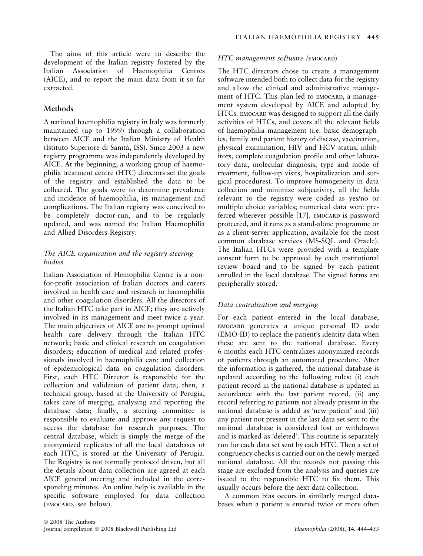The aims of this article were to describe the development of the Italian registry fostered by the Italian Association of Haemophilia Centres (AICE), and to report the main data from it so far extracted.

# Methods

A national haemophilia registry in Italy was formerly maintained (up to 1999) through a collaboration between AICE and the Italian Ministry of Health (Istituto Superiore di Sanita`, ISS). Since 2003 a new registry programme was independently developed by AICE. At the beginning, a working group of haemophilia treatment centre (HTC) directors set the goals of the registry and established the data to be collected. The goals were to determine prevalence and incidence of haemophilia, its management and complications. The Italian registry was conceived to be completely doctor-run, and to be regularly updated, and was named the Italian Haemophilia and Allied Disorders Registry.

# The AICE organization and the registry steering bodies

Italian Association of Hemophilia Centre is a nonfor-profit association of Italian doctors and carers involved in health care and research in haemophilia and other coagulation disorders. All the directors of the Italian HTC take part in AICE; they are actively involved in its management and meet twice a year. The main objectives of AICE are to prompt optimal health care delivery through the Italian HTC network; basic and clinical research on coagulation disorders; education of medical and related professionals involved in haemophilia care and collection of epidemiological data on coagulation disorders. First, each HTC Director is responsible for the collection and validation of patient data; then, a technical group, based at the University of Perugia, takes care of merging, analysing and reporting the database data; finally, a steering committee is responsible to evaluate and approve any request to access the database for research purposes. The central database, which is simply the merge of the anonymized replicates of all the local databases of each HTC, is stored at the University of Perugia. The Registry is not formally protocol driven, but all the details about data collection are agreed at each AICE general meeting and included in the corresponding minutes. An online help is available in the specific software employed for data collection (emocard, see below).

### HTC management software (EMOCARD)

The HTC directors chose to create a management software intended both to collect data for the registry and allow the clinical and administrative management of HTC. This plan led to EMOCARD, a management system developed by AICE and adopted by HTCs. EMOCARD was designed to support all the daily activities of HTCs, and covers all the relevant fields of haemophilia management (i.e. basic demographics, family and patient history of disease, vaccination, physical examination, HIV and HCV status, inhibitors, complete coagulation profile and other laboratory data, molecular diagnosis, type and mode of treatment, follow-up visits, hospitalization and surgical procedures). To improve homogeneity in data collection and minimize subjectivity, all the fields relevant to the registry were coded as yes/no or multiple choice variables; numerical data were preferred wherever possible [17]. EMOCARD is password protected, and it runs as a stand-alone programme or as a client-server application, available for the most common database services (MS-SQL and Oracle). The Italian HTCs were provided with a template consent form to be approved by each institutional review board and to be signed by each patient enrolled in the local database. The signed forms are peripherally stored.

# Data centralization and merging

For each patient entered in the local database, emocard generates a unique personal ID code (EMO-ID) to replace the patient's identity data when these are sent to the national database. Every 6 months each HTC centralizes anonymized records of patients through an automated procedure. After the information is gathered, the national database is updated according to the following rules: (i) each patient record in the national database is updated in accordance with the last patient record, (ii) any record referring to patients not already present in the national database is added as 'new patient' and (iii) any patient not present in the last data set sent to the national database is considered lost or withdrawn and is marked as 'deleted'. This routine is separately run for each data set sent by each HTC. Then a set of congruency checks is carried out on the newly merged national database. All the records not passing this stage are excluded from the analysis and queries are issued to the responsible HTC to fix them. This usually occurs before the next data collection.

A common bias occurs in similarly merged databases when a patient is entered twice or more often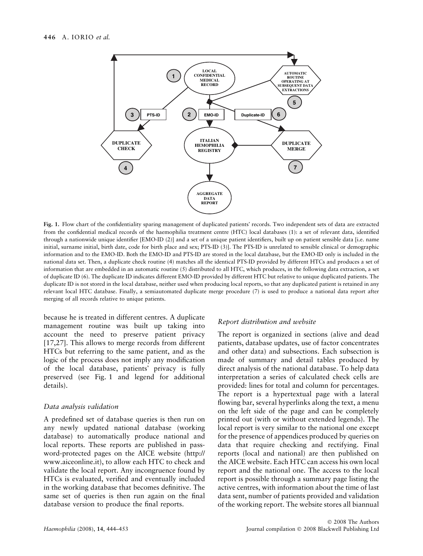

Fig. 1. Flow chart of the confidentiality sparing management of duplicated patients' records. Two independent sets of data are extracted from the confidential medical records of the haemophilia treatment centre (HTC) local databases (1): a set of relevant data, identified through a nationwide unique identifier [EMO-ID (2)] and a set of a unique patient identifiers, built up on patient sensible data [i.e. name initial, surname initial, birth date, code for birth place and sex; PTS-ID (3)]. The PTS-ID is unrelated to sensible clinical or demographic information and to the EMO-ID. Both the EMO-ID and PTS-ID are stored in the local database, but the EMO-ID only is included in the national data set. Then, a duplicate check routine (4) matches all the identical PTS-ID provided by different HTCs and produces a set of information that are embedded in an automatic routine (5) distributed to all HTC, which produces, in the following data extraction, a set of duplicate ID (6). The duplicate ID indicates different EMO-ID provided by different HTC but relative to unique duplicated patients. The duplicate ID is not stored in the local database, neither used when producing local reports, so that any duplicated patient is retained in any relevant local HTC database. Finally, a semiautomated duplicate merge procedure (7) is used to produce a national data report after merging of all records relative to unique patients.

because he is treated in different centres. A duplicate management routine was built up taking into account the need to preserve patient privacy [17,27]. This allows to merge records from different HTCs but referring to the same patient, and as the logic of the process does not imply any modification of the local database, patients' privacy is fully preserved (see Fig. 1 and legend for additional details).

#### Data analysis validation

A predefined set of database queries is then run on any newly updated national database (working database) to automatically produce national and local reports. These reports are published in password-protected pages on the AICE website (http:// www.aiceonline.it), to allow each HTC to check and validate the local report. Any incongruence found by HTCs is evaluated, verified and eventually included in the working database that becomes definitive. The same set of queries is then run again on the final database version to produce the final reports.

#### Report distribution and website

The report is organized in sections (alive and dead patients, database updates, use of factor concentrates and other data) and subsections. Each subsection is made of summary and detail tables produced by direct analysis of the national database. To help data interpretation a series of calculated check cells are provided: lines for total and column for percentages. The report is a hypertextual page with a lateral flowing bar, several hyperlinks along the text, a menu on the left side of the page and can be completely printed out (with or without extended legends). The local report is very similar to the national one except for the presence of appendices produced by queries on data that require checking and rectifying. Final reports (local and national) are then published on the AICE website. Each HTC can access his own local report and the national one. The access to the local report is possible through a summary page listing the active centres, with information about the time of last data sent, number of patients provided and validation of the working report. The website stores all biannual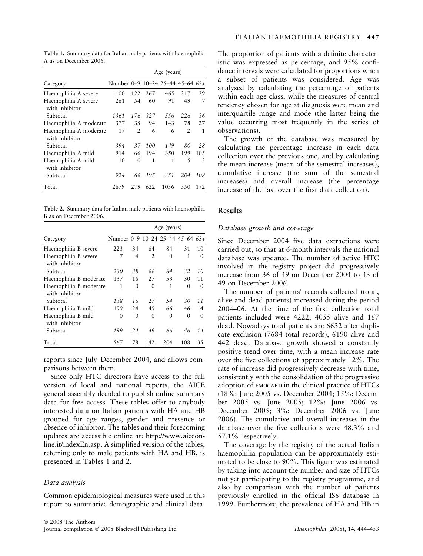Table 1. Summary data for Italian male patients with haemophilia A as on December 2006.

|                                          |                                  | Age (years) |     |      |     |      |
|------------------------------------------|----------------------------------|-------------|-----|------|-----|------|
| Category                                 | Number 0-9 10-24 25-44 45-64 65+ |             |     |      |     |      |
| Haemophilia A severe                     | 1100                             | 122         | 267 | 465  | 217 | 29   |
| Haemophilia A severe<br>with inhibitor   | 261                              | 54          | 60  | 91   | 49  | 7    |
| Subtotal                                 | 1361                             | 176         | 327 | 556  | 226 | 36   |
| Haemophilia A moderate                   | 377                              | 35          | 94  | 143  | 78  | 27   |
| Haemophilia A moderate<br>with inhibitor | 17                               | 2           | 6   | 6    | 2   | 1    |
| Subtotal                                 | 394                              | 37          | 100 | 149  | 80  | 28   |
| Haemophilia A mild                       | 914                              | 66          | 194 | 3.50 | 199 | 10.5 |
| Haemophilia A mild<br>with inhibitor     | 10                               | $\Omega$    | 1   | 1    | 5   | 3    |
| Subtotal                                 | 924                              | 66          | 195 | 351  | 204 | 108  |
| Total                                    | 2679                             | 279         | 622 | 1056 | 550 | 172  |

Table 2. Summary data for Italian male patients with haemophilia B as on December 2006.

|                                          |                                  | Age (years) |          |          |          |          |  |
|------------------------------------------|----------------------------------|-------------|----------|----------|----------|----------|--|
| Category                                 | Number 0-9 10-24 25-44 45-64 65+ |             |          |          |          |          |  |
| Haemophilia B severe                     | 223                              | 34          | 64       | 84       | 31       | 10       |  |
| Haemophilia B severe<br>with inhibitor   | 7                                | 4           | 2        | $\Omega$ | 1        | $\Omega$ |  |
| Subtotal                                 | 230                              | 38          | 66       | 84       | 32       | 10       |  |
| Haemophilia B moderate                   | 137                              | 16          | 27       | 53       | 30       | 11       |  |
| Haemophilia B moderate<br>with inhibitor | 1                                | $\theta$    | $\Omega$ | 1        | $\Omega$ | $\Omega$ |  |
| Subtotal                                 | 138                              | 16          | 27       | 54       | 30       | 11       |  |
| Haemophilia B mild                       | 199                              | 24          | 49       | 66       | 46       | 14       |  |
| Haemophilia B mild<br>with inhibitor     | $\theta$                         | $\theta$    | $\theta$ | $\Omega$ | $\Omega$ | $\Omega$ |  |
| Subtotal                                 | 199                              | 24          | 49       | 66       | 46       | 14       |  |
| Total                                    | 567                              | 78          | 142      | 204      | 108      | 35       |  |

reports since July–December 2004, and allows comparisons between them.

Since only HTC directors have access to the full version of local and national reports, the AICE general assembly decided to publish online summary data for free access. These tables offer to anybody interested data on Italian patients with HA and HB grouped for age ranges, gender and presence or absence of inhibitor. The tables and their forecoming updates are accessible online at: http://www.aiceonline.it/indexEn.asp. A simplified version of the tables, referring only to male patients with HA and HB, is presented in Tables 1 and 2.

#### Data analysis

Common epidemiological measures were used in this report to summarize demographic and clinical data.

57.1% respectively.

The coverage by the registry of the actual Italian haemophilia population can be approximately estimated to be close to 90%. This figure was estimated by taking into account the number and size of HTCs not yet participating to the registry programme, and also by comparison with the number of patients previously enrolled in the official ISS database in 1999. Furthermore, the prevalence of HA and HB in

The proportion of patients with a definite characteristic was expressed as percentage, and 95% confidence intervals were calculated for proportions when a subset of patients was considered. Age was analysed by calculating the percentage of patients within each age class, while the measures of central tendency chosen for age at diagnosis were mean and interquartile range and mode (the latter being the value occurring most frequently in the series of observations).

The growth of the database was measured by calculating the percentage increase in each data collection over the previous one, and by calculating the mean increase (mean of the semestral increases), cumulative increase (the sum of the semestral increases) and overall increase (the percentage increase of the last over the first data collection).

### Results

#### Database growth and coverage

Since December 2004 five data extractions were carried out, so that at 6-month intervals the national database was updated. The number of active HTC involved in the registry project did progressively increase from 36 of 49 on December 2004 to 43 of 49 on December 2006.

The number of patients' records collected (total, alive and dead patients) increased during the period 2004–06. At the time of the first collection total patients included were 4222, 4055 alive and 167 dead. Nowadays total patients are 6632 after duplicate exclusion (7684 total records), 6190 alive and 442 dead. Database growth showed a constantly positive trend over time, with a mean increase rate over the five collections of approximately 12%. The rate of increase did progressively decrease with time, consistently with the consolidation of the progressive adoption of EMOCARD in the clinical practice of HTCs (18%: June 2005 vs. December 2004; 15%: December 2005 vs. June 2005; 12%: June 2006 vs. December 2005; 3%: December 2006 vs. June 2006). The cumulative and overall increases in the database over the five collections were 48.3% and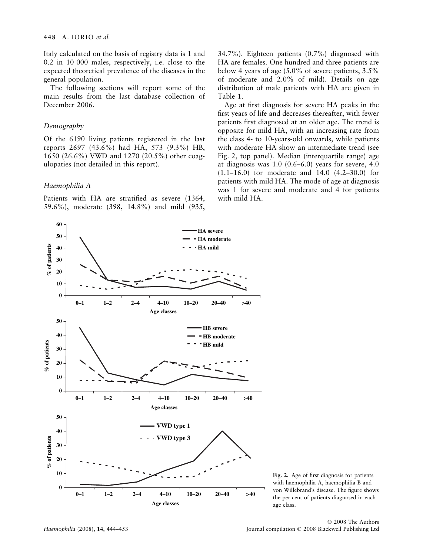Italy calculated on the basis of registry data is 1 and 0.2 in 10 000 males, respectively, i.e. close to the expected theoretical prevalence of the diseases in the general population.

The following sections will report some of the main results from the last database collection of December 2006.

#### Demography

Of the 6190 living patients registered in the last reports 2697 (43.6%) had HA, 573 (9.3%) HB, 1650 (26.6%) VWD and 1270 (20.5%) other coagulopaties (not detailed in this report).

#### Haemophilia A

Patients with HA are stratified as severe (1364, 59.6%), moderate (398, 14.8%) and mild (935,

34.7%). Eighteen patients (0.7%) diagnosed with HA are females. One hundred and three patients are below 4 years of age (5.0% of severe patients, 3.5% of moderate and 2.0% of mild). Details on age distribution of male patients with HA are given in Table 1.

Age at first diagnosis for severe HA peaks in the first years of life and decreases thereafter, with fewer patients first diagnosed at an older age. The trend is opposite for mild HA, with an increasing rate from the class 4- to 10-years-old onwards, while patients with moderate HA show an intermediate trend (see Fig. 2, top panel). Median (interquartile range) age at diagnosis was 1.0 (0.6–6.0) years for severe, 4.0 (1.1–16.0) for moderate and 14.0 (4.2–30.0) for patients with mild HA. The mode of age at diagnosis was 1 for severe and moderate and 4 for patients with mild HA.



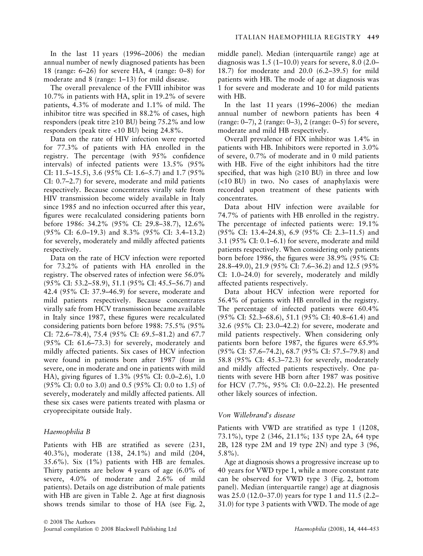In the last 11 years (1996–2006) the median annual number of newly diagnosed patients has been 18 (range: 6–26) for severe HA, 4 (range: 0–8) for moderate and 8 (range: 1–13) for mild disease.

The overall prevalence of the FVIII inhibitor was 10.7% in patients with HA, split in 19.2% of severe patients, 4.3% of moderate and 1.1% of mild. The inhibitor titre was specified in 88.2% of cases, high responders (peak titre  $\geq 10$  BU) being 75.2% and low responders (peak titre <10 BU) being 24.8%.

Data on the rate of HIV infection were reported for 77.3% of patients with HA enrolled in the registry. The percentage (with 95% confidence intervals) of infected patients were 13.5% (95% CI: 11.5–15.5), 3.6 (95% CI: 1.6–5.7) and 1.7 (95% CI: 0.7–2.7) for severe, moderate and mild patients respectively. Because concentrates virally safe from HIV transmission become widely available in Italy since 1985 and no infection occurred after this year, figures were recalculated considering patients born before 1986: 34.2% (95% CI: 29.8–38.7), 12.6% (95% CI: 6.0–19.3) and 8.3% (95% CI: 3.4–13.2) for severely, moderately and mildly affected patients respectively.

Data on the rate of HCV infection were reported for 73.2% of patients with HA enrolled in the registry. The observed rates of infection were 56.0% (95% CI: 53.2–58.9), 51.1 (95% CI: 45.5–56.7) and 42.4 (95% CI: 37.9–46.9) for severe, moderate and mild patients respectively. Because concentrates virally safe from HCV transmission became available in Italy since 1987, these figures were recalculated considering patients born before 1988: 75.5% (95% CI: 72.6–78.4), 75.4 (95% CI: 69.5–81.2) and 67.7 (95% CI: 61.6–73.3) for severely, moderately and mildly affected patients. Six cases of HCV infection were found in patients born after 1987 (four in severe, one in moderate and one in patients with mild HA), giving figures of 1.3% (95% CI: 0.0–2.6), 1.0 (95% CI: 0.0 to 3.0) and 0.5 (95% CI: 0.0 to 1.5) of severely, moderately and mildly affected patients. All these six cases were patients treated with plasma or cryoprecipitate outside Italy.

# Haemophilia B

Patients with HB are stratified as severe (231, 40.3%), moderate (138, 24.1%) and mild (204, 35.6%). Six (1%) patients with HB are females. Thirty patients are below 4 years of age (6.0% of severe, 4.0% of moderate and 2.6% of mild patients). Details on age distribution of male patients with HB are given in Table 2. Age at first diagnosis shows trends similar to those of HA (see Fig. 2, middle panel). Median (interquartile range) age at diagnosis was  $1.5$  (1–10.0) years for severe, 8.0 (2.0– 18.7) for moderate and 20.0 (6.2–39.5) for mild patients with HB. The mode of age at diagnosis was 1 for severe and moderate and 10 for mild patients with HB.

In the last 11 years (1996–2006) the median annual number of newborn patients has been 4 (range:  $0-7$ ), 2 (range:  $0-3$ ), 2 (range:  $0-5$ ) for severe, moderate and mild HB respectively.

Overall prevalence of FIX inhibitor was 1.4% in patients with HB. Inhibitors were reported in 3.0% of severe, 0.7% of moderate and in 0 mild patients with HB. Five of the eight inhibitors had the titre specified, that was high  $(\geq 10 \text{ BU})$  in three and low (<10 BU) in two. No cases of anaphylaxis were recorded upon treatment of these patients with concentrates.

Data about HIV infection were available for 74.7% of patients with HB enrolled in the registry. The percentage of infected patients were: 19.1% (95% CI: 13.4–24.8), 6.9 (95% CI: 2.3–11.5) and 3.1 (95% CI: 0.1–6.1) for severe, moderate and mild patients respectively. When considering only patients born before 1986, the figures were 38.9% (95% CI: 28.8–49.0), 21.9 (95% CI: 7.6–36.2) and 12.5 (95% CI: 1.0–24.0) for severely, moderately and mildly affected patients respectively.

Data about HCV infection were reported for 56.4% of patients with HB enrolled in the registry. The percentage of infected patients were 60.4% (95% CI: 52.3–68.6), 51.1 (95% CI: 40.8–61.4) and 32.6 (95% CI: 23.0–42.2) for severe, moderate and mild patients respectively. When considering only patients born before 1987, the figures were 65.9% (95% CI: 57.6–74.2), 68.7 (95% CI: 57.5–79.8) and 58.8 (95% CI: 45.3–72.3) for severely, moderately and mildly affected patients respectively. One patients with severe HB born after 1987 was positive for HCV (7.7%, 95% CI: 0.0–22.2). He presented other likely sources of infection.

# Von Willebrand's disease

Patients with VWD are stratified as type 1 (1208, 73.1%), type 2 (346, 21.1%; 135 type 2A, 64 type 2B, 128 type 2M and 19 type 2N) and type 3 (96, 5.8%).

Age at diagnosis shows a progressive increase up to 40 years for VWD type 1, while a more constant rate can be observed for VWD type 3 (Fig. 2, bottom panel). Median (interquartile range) age at diagnosis was 25.0 (12.0–37.0) years for type 1 and 11.5 (2.2– 31.0) for type 3 patients with VWD. The mode of age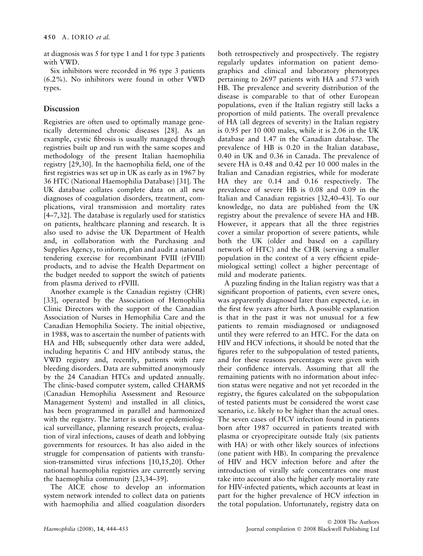at diagnosis was 5 for type 1 and 1 for type 3 patients with VWD.

Six inhibitors were recorded in 96 type 3 patients (6.2%). No inhibitors were found in other VWD types.

# Discussion

Registries are often used to optimally manage genetically determined chronic diseases [28]. As an example, cystic fibrosis is usually managed through registries built up and run with the same scopes and methodology of the present Italian haemophilia registry [29,30]. In the haemophilia field, one of the first registries was set up in UK as early as in 1967 by 36 HTC (National Haemophilia Database) [31]. The UK database collates complete data on all new diagnoses of coagulation disorders, treatment, complications, viral transmission and mortality rates [4–7,32]. The database is regularly used for statistics on patients, healthcare planning and research. It is also used to advise the UK Department of Health and, in collaboration with the Purchasing and Supplies Agency, to inform, plan and audit a national tendering exercise for recombinant FVIII (rFVIII) products, and to advise the Health Department on the budget needed to support the switch of patients from plasma derived to rFVIII.

Another example is the Canadian registry (CHR) [33], operated by the Association of Hemophilia Clinic Directors with the support of the Canadian Association of Nurses in Hemophilia Care and the Canadian Hemophilia Society. The initial objective, in 1988, was to ascertain the number of patients with HA and HB; subsequently other data were added, including hepatitis C and HIV antibody status, the VWD registry and, recently, patients with rare bleeding disorders. Data are submitted anonymously by the 24 Canadian HTCs and updated annually. The clinic-based computer system, called CHARMS (Canadian Hemophilia Assessment and Resource Management System) and installed in all clinics, has been programmed in parallel and harmonized with the registry. The latter is used for epidemiological surveillance, planning research projects, evaluation of viral infections, causes of death and lobbying governments for resources. It has also aided in the struggle for compensation of patients with transfusion-transmitted virus infections [10,15,20]. Other national haemophilia registries are currently serving the haemophilia community [23,34–39].

The AICE chose to develop an information system network intended to collect data on patients with haemophilia and allied coagulation disorders

both retrospectively and prospectively. The registry regularly updates information on patient demographics and clinical and laboratory phenotypes pertaining to 2697 patients with HA and 573 with HB. The prevalence and severity distribution of the disease is comparable to that of other European populations, even if the Italian registry still lacks a proportion of mild patients. The overall prevalence of HA (all degrees of severity) in the Italian registry is 0.95 per 10 000 males, while it is 2.06 in the UK database and 1.47 in the Canadian database. The prevalence of HB is 0.20 in the Italian database, 0.40 in UK and 0.36 in Canada. The prevalence of severe HA is 0.48 and 0.42 per 10 000 males in the Italian and Canadian registries, while for moderate HA they are 0.14 and 0.16 respectively. The prevalence of severe HB is 0.08 and 0.09 in the Italian and Canadian registries [32,40–43]. To our knowledge, no data are published from the UK registry about the prevalence of severe HA and HB. However, it appears that all the three registries cover a similar proportion of severe patients, while both the UK (older and based on a capillary network of HTC) and the CHR (serving a smaller population in the context of a very efficient epidemiological setting) collect a higher percentage of mild and moderate patients.

A puzzling finding in the Italian registry was that a significant proportion of patients, even severe ones, was apparently diagnosed later than expected, i.e. in the first few years after birth. A possible explanation is that in the past it was not unusual for a few patients to remain misdiagnosed or undiagnosed until they were referred to an HTC. For the data on HIV and HCV infections, it should be noted that the figures refer to the subpopulation of tested patients, and for these reasons percentages were given with their confidence intervals. Assuming that all the remaining patients with no information about infection status were negative and not yet recorded in the registry, the figures calculated on the subpopulation of tested patients must be considered the worst case scenario, i.e. likely to be higher than the actual ones. The seven cases of HCV infection found in patients born after 1987 occurred in patients treated with plasma or cryoprecipitate outside Italy (six patients with HA) or with other likely sources of infections (one patient with HB). In comparing the prevalence of HIV and HCV infection before and after the introduction of virally safe concentrates one must take into account also the higher early mortality rate for HIV-infected patients, which accounts at least in part for the higher prevalence of HCV infection in the total population. Unfortunately, registry data on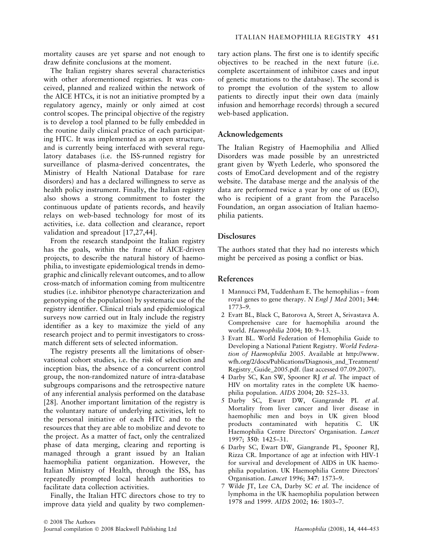mortality causes are yet sparse and not enough to draw definite conclusions at the moment.

The Italian registry shares several characteristics with other aforementioned registries. It was conceived, planned and realized within the network of the AICE HTCs, it is not an initiative prompted by a regulatory agency, mainly or only aimed at cost control scopes. The principal objective of the registry is to develop a tool planned to be fully embedded in the routine daily clinical practice of each participating HTC. It was implemented as an open structure, and is currently being interfaced with several regulatory databases (i.e. the ISS-runned registry for surveillance of plasma-derived concentrates, the Ministry of Health National Database for rare disorders) and has a declared willingness to serve as health policy instrument. Finally, the Italian registry also shows a strong commitment to foster the continuous update of patients records, and heavily relays on web-based technology for most of its activities, i.e. data collection and clearance, report validation and spreadout [17,27,44].

From the research standpoint the Italian registry has the goals, within the frame of AICE-driven projects, to describe the natural history of haemophilia, to investigate epidemiological trends in demographic and clinically relevant outcomes, and to allow cross-match of information coming from multicentre studies (i.e. inhibitor phenotype characterization and genotyping of the population) by systematic use of the registry identifier. Clinical trials and epidemiological surveys now carried out in Italy include the registry identifier as a key to maximize the yield of any research project and to permit investigators to crossmatch different sets of selected information.

The registry presents all the limitations of observational cohort studies, i.e. the risk of selection and inception bias, the absence of a concurrent control group, the non-randomized nature of intra-database subgroups comparisons and the retrospective nature of any inferential analysis performed on the database [28]. Another important limitation of the registry is the voluntary nature of underlying activities, left to the personal initiative of each HTC and to the resources that they are able to mobilize and devote to the project. As a matter of fact, only the centralized phase of data merging, clearing and reporting is managed through a grant issued by an Italian haemophilia patient organization. However, the Italian Ministry of Health, through the ISS, has repeatedly prompted local health authorities to facilitate data collection activities.

Finally, the Italian HTC directors chose to try to improve data yield and quality by two complementary action plans. The first one is to identify specific objectives to be reached in the next future (i.e. complete ascertainment of inhibitor cases and input of genetic mutations to the database). The second is to prompt the evolution of the system to allow patients to directly input their own data (mainly infusion and hemorrhage records) through a secured web-based application.

# Acknowledgements

The Italian Registry of Haemophilia and Allied Disorders was made possible by an unrestricted grant given by Wyeth Lederle, who sponsored the costs of EmoCard development and of the registry website. The database merge and the analysis of the data are performed twice a year by one of us (EO), who is recipient of a grant from the Paracelso Foundation, an organ association of Italian haemophilia patients.

## Disclosures

The authors stated that they had no interests which might be perceived as posing a conflict or bias.

### References

- 1 Mannucci PM, Tuddenham E. The hemophilias from royal genes to gene therapy. N Engl J Med 2001; 344: 1773–9.
- 2 Evatt BL, Black C, Batorova A, Street A, Srivastava A. Comprehensive care for haemophilia around the world. Haemophilia 2004; 10: 9–13.
- 3 Evatt BL. World Federation of Hemophilia Guide to Developing a National Patient Registry. World Federation of Haemophilia 2005. Available at http://www. wfh.org/2/docs/Publications/Diagnosis\_and\_Treatment/ Registry\_Guide\_2005.pdf. (last accessed 07.09.2007).
- 4 Darby SC, Kan SW, Spooner RJ et al. The impact of HIV on mortality rates in the complete UK haemophilia population. AIDS 2004; 20: 525–33.
- 5 Darby SC, Ewart DW, Giangrande PL et al. Mortality from liver cancer and liver disease in haemophilic men and boys in UK given blood products contaminated with hepatitis C. UK Haemophilia Centre Directors' Organisation. Lancet 1997; 350: 1425–31.
- 6 Darby SC, Ewart DW, Giangrande PL, Spooner RJ, Rizza CR. Importance of age at infection with HIV-1 for survival and development of AIDS in UK haemophilia population. UK Haemophilia Centre Directors' Organisation. Lancet 1996; 347: 1573–9.
- 7 Wilde JT, Lee CA, Darby SC et al. The incidence of lymphoma in the UK haemophilia population between 1978 and 1999. AIDS 2002; 16: 1803–7.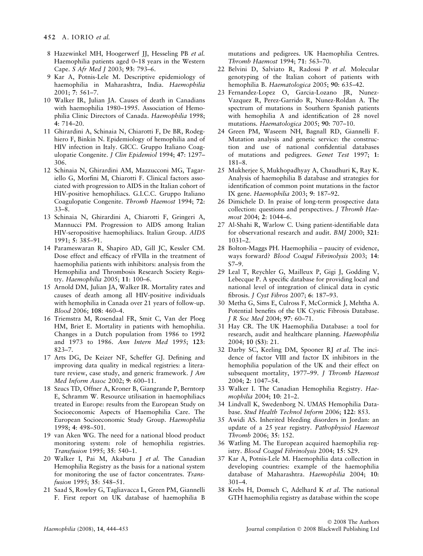- 8 Hazewinkel MH, Hoogerwerf JJ, Hesseling PB et al. Haemophilia patients aged 0–18 years in the Western Cape. S Afr Med J 2003; 93: 793–6.
- 9 Kar A, Potnis-Lele M. Descriptive epidemiology of haemophilia in Maharashtra, India. Haemophilia 2001; 7: 561–7.
- 10 Walker IR, Julian JA. Causes of death in Canadians with haemophilia 1980–1995. Association of Hemophilia Clinic Directors of Canada. Haemophilia 1998; 4: 714–20.
- 11 Ghirardini A, Schinaia N, Chiarotti F, De BR, Rodeghiero F, Binkin N. Epidemiology of hemophilia and of HIV infection in Italy. GICC. Gruppo Italiano Coagulopatie Congenite. J Clin Epidemiol 1994; 47: 1297– 306.
- 12 Schinaia N, Ghirardini AM, Mazzucconi MG, Tagariello G, Morfini M, Chiarotti F. Clinical factors associated with progression to AIDS in the Italian cohort of HIV-positive hemophiliacs. G.I.C.C. Gruppo Italiano Coagulopatie Congenite. Thromb Haemost 1994; 72: 33–8.
- 13 Schinaia N, Ghirardini A, Chiarotti F, Gringeri A, Mannucci PM. Progression to AIDS among Italian HIV-seropositive haemophiliacs. Italian Group. AIDS 1991; 5: 385–91.
- 14 Parameswaran R, Shapiro AD, Gill JC, Kessler CM. Dose effect and efficacy of rFVIIa in the treatment of haemophilia patients with inhibitors: analysis from the Hemophilia and Thrombosis Research Society Registry. Haemophilia 2005; 11: 100–6.
- 15 Arnold DM, Julian JA, Walker IR. Mortality rates and causes of death among all HIV-positive individuals with hemophilia in Canada over 21 years of follow-up. Blood 2006; 108: 460–4.
- 16 Triemstra M, Rosendaal FR, Smit C, Van der Ploeg HM, Briet E. Mortality in patients with hemophilia. Changes in a Dutch population from 1986 to 1992 and 1973 to 1986. Ann Intern Med 1995; 123: 823–7.
- 17 Arts DG, De Keizer NF, Scheffer GJ. Defining and improving data quality in medical registries: a literature review, case study, and generic framework. *J Am* Med Inform Assoc 2002; 9: 600–11.
- 18 Szucs TD, Offner A, Kroner B, Giangrande P, Berntorp E, Schramm W. Resource utilisation in haemophiliacs treated in Europe: results from the European Study on Socioeconomic Aspects of Haemophilia Care. The European Socioeconomic Study Group. Haemophilia 1998; 4: 498–501.
- 19 van Aken WG. The need for a national blood product monitoring system: role of hemophilia registries. Transfusion 1995; 35: 540–1.
- 20 Walker I, Pai M, Akabutu J et al. The Canadian Hemophilia Registry as the basis for a national system for monitoring the use of factor concentrates. Transfusion 1995; 35: 548–51.
- 21 Saad S, Rowley G, Tagliavacca L, Green PM, Giannelli F. First report on UK database of haemophilia B

mutations and pedigrees. UK Haemophilia Centres. Thromb Haemost 1994; 71: 563–70.

- 22 Belvini D, Salviato R, Radossi P et al. Molecular genotyping of the Italian cohort of patients with hemophilia B. Haematologica 2005; 90: 635–42.
- 23 Fernandez-Lopez O, Garcia-Lozano JR, Nunez-Vazquez R, Perez-Garrido R, Nunez-Roldan A. The spectrum of mutations in Southern Spanish patients with hemophilia A and identification of 28 novel mutations. Haematologica 2005; 90: 707–10.
- 24 Green PM, Waseem NH, Bagnall RD, Giannelli F. Mutation analysis and genetic service: the construction and use of national confidential databases of mutations and pedigrees. Genet Test 1997; 1: 181–8.
- 25 Mukherjee S, Mukhopadhyay A, Chaudhuri K, Ray K. Analysis of haemophilia B database and strategies for identification of common point mutations in the factor IX gene. Haemophilia 2003; 9: 187–92.
- 26 Dimichele D. In praise of long-term prospective data collection: questions and perspectives. J Thromb Haemost 2004; 2: 1044–6.
- 27 Al-Shahi R, Warlow C. Using patient-identifiable data for observational research and audit. BMJ 2000; 321: 1031–2.
- 28 Bolton-Maggs PH. Haemophilia paucity of evidence, ways forward? Blood Coagul Fibrinolysis 2003; 14: S7–9.
- 29 Leal T, Reychler G, Mailleux P, Gigi J, Godding V, Lebecque P. A specific database for providing local and national level of integration of clinical data in cystic fibrosis. J Cyst Fibros 2007; 6: 187–93.
- 30 Metha G, Sims E, Culross F, McCormick J, Mehtha A. Potential benefits of the UK Cystic Fibrosis Database. J R Soc Med 2004; 97: 60–71.
- 31 Hay CR. The UK Haemophilia Database: a tool for research, audit and healthcare planning. Haemophilia 2004; 10 (S3): 21.
- 32 Darby SC, Keeling DM, Spooner RJ et al. The incidence of factor VIII and factor IX inhibitors in the hemophilia population of the UK and their effect on subsequent mortality, 1977-99. J Thromb Haemost 2004; 2: 1047–54.
- 33 Walker I. The Canadian Hemophilia Registry. Haemophilia 2004; 10: 21–2.
- 34 Lindvall K, Swedenborg N. UMAS Hemophilia Database. Stud Health Technol Inform 2006; 122: 853.
- 35 Awidi AS. Inherited bleeding disorders in Jordan: an update of a 25 year registry. Pathophysiol Haemost Thromb 2006; 35: 152.
- 36 Watling M. The European acquired haemophilia registry. Blood Coagul Fibrinolysis 2004; 15: S29.
- 37 Kar A, Potnis-Lele M. Haemophilia data collection in developing countries: example of the haemophilia database of Maharashtra. Haemophilia 2004; 10:  $301 - 4$
- 38 Krebs H, Domsch C, Adelhard K et al. The national GTH haemophilia registry as database within the scope